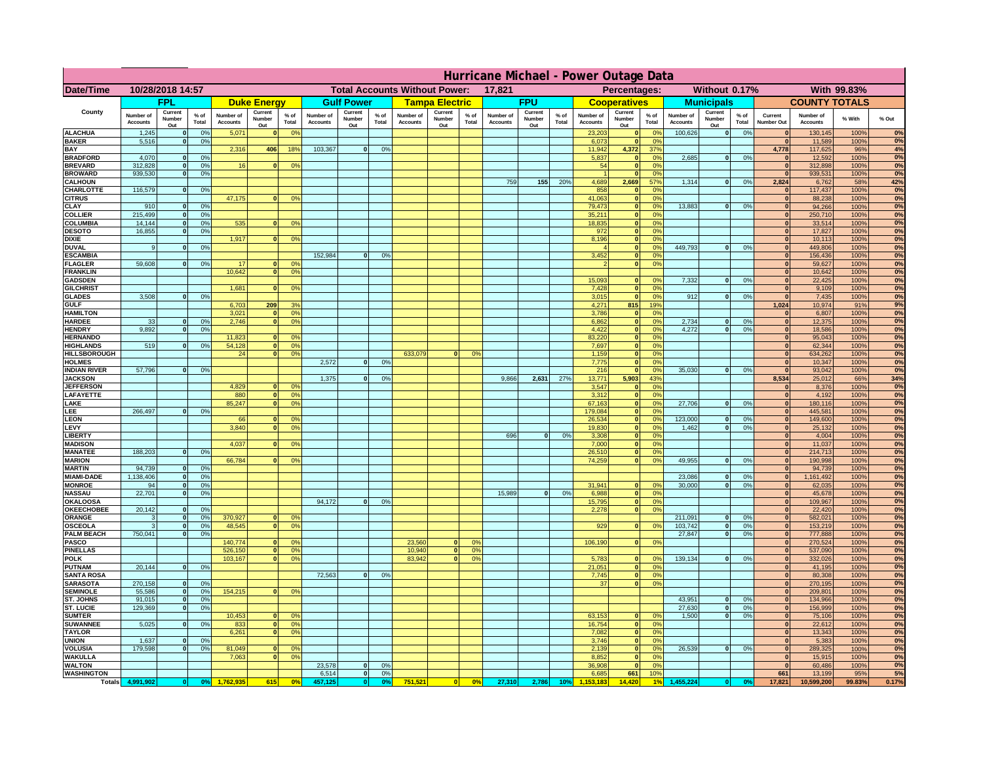|                                      | Hurricane Michael - Power Outage Data |                              |                      |                              |                                 |                 |                                                |                          |                      |                              |                          |                                              |                              |                          |               |                              |                          |                                               |                              |                          |                 |                              |                              |              |             |
|--------------------------------------|---------------------------------------|------------------------------|----------------------|------------------------------|---------------------------------|-----------------|------------------------------------------------|--------------------------|----------------------|------------------------------|--------------------------|----------------------------------------------|------------------------------|--------------------------|---------------|------------------------------|--------------------------|-----------------------------------------------|------------------------------|--------------------------|-----------------|------------------------------|------------------------------|--------------|-------------|
| Date/Time                            | 10/28/2018 14:57                      |                              |                      |                              |                                 |                 | <b>Total Accounts Without Power:</b><br>17,821 |                          |                      |                              |                          | With 99.83%<br>Percentages:<br>Without 0.17% |                              |                          |               |                              |                          |                                               |                              |                          |                 |                              |                              |              |             |
|                                      |                                       | <b>FPL</b>                   |                      |                              | <b>Duke Energy</b>              |                 |                                                | <b>Gulf Power</b>        |                      |                              | <b>Tampa Electric</b>    |                                              |                              | <b>FPU</b>               |               |                              | <b>Cooperatives</b>      |                                               |                              | <b>Municipals</b>        |                 |                              | <b>COUNTY TOTALS</b>         |              |             |
| County                               | Number of<br><b>Accounts</b>          | Current<br>Number<br>Out     | $%$ of<br>Total      | Number of<br><b>Accounts</b> | Current<br><b>Number</b><br>Out | $%$ of<br>Total | Number of<br><b>Accounts</b>                   | Current<br>Number<br>Out | $%$ of<br>Total      | Number of<br><b>Accounts</b> | Current<br>Number<br>Out | $%$ of<br>Total                              | Number of<br><b>Accounts</b> | Current<br>Number<br>Out | % of<br>Total | Number of<br><b>Accounts</b> | Current<br>Number<br>Out | $%$ of<br>Total                               | Number of<br><b>Accounts</b> | Current<br>Number<br>Out | $%$ of<br>Total | Current<br>Number Out        | Number of<br><b>Accounts</b> | % With       | % Out       |
| <b>ALACHUA</b><br><b>BAKER</b>       | 1,245                                 | $\mathbf{0}$<br>$\mathbf{0}$ | 0%                   | 5,071                        |                                 | 0 <sup>9</sup>  |                                                |                          |                      |                              |                          |                                              |                              |                          |               | 23,203                       | $\bf{0}$<br>$\bf{0}$     | $^{\circ}$<br>0 <sup>9</sup>                  | 100,626                      | 0                        | 0%              | $\mathbf{0}$<br>$\mathbf{0}$ | 130,145                      | 100%         | 0%<br>0%    |
| BAY                                  | 5,516                                 |                              | 0%                   | 2,316                        | 406                             | 18%             | 103,367                                        | 0                        | 0%                   |                              |                          |                                              |                              |                          |               | 6,073<br>11,942              | 4,372                    | 37%                                           |                              |                          |                 | 4,778                        | 11,589<br>117,625            | 100%<br>96%  | 4%          |
| <b>BRADFORD</b>                      | 4,070                                 | $\Omega$                     | 0%                   |                              |                                 |                 |                                                |                          |                      |                              |                          |                                              |                              |                          |               | 5,837                        | 0                        | 0 <sup>9</sup>                                | 2,685                        | 0                        | 0%              | $\Omega$                     | 12,592                       | 100%         | 0%          |
| <b>BREVARD</b><br><b>BROWARD</b>     | 312.828<br>939.530                    | $\mathbf{0}$<br>$\mathbf{0}$ | 0 <sup>9</sup><br>0% | 16                           |                                 | 0 <sup>o</sup>  |                                                |                          |                      |                              |                          |                                              |                              |                          |               | 54                           | 0 <br> 0                 | 0 <sup>9</sup><br>0%                          |                              |                          |                 | $\mathbf{0}$<br>$\mathbf{0}$ | 312,898<br>939,531           | 100%<br>100% | 0%<br>0%    |
| <b>CALHOUN</b>                       |                                       |                              |                      |                              |                                 |                 |                                                |                          |                      |                              |                          |                                              | 759                          | 155                      | 20%           | 4,689                        | 2,669                    | 57%                                           | 1,314                        | 0                        | 0%              | 2,824                        | 6,762                        | 58%          | 42%         |
| CHARLOTTE<br><b>CITRUS</b>           | 116,579                               | $\mathbf{0}$                 | 0%                   | 47,175                       |                                 | 0 <sup>o</sup>  |                                                |                          |                      |                              |                          |                                              |                              |                          |               | 858<br>41.063                | 0 <br> 0                 | 0%<br>0 <sup>9</sup>                          |                              |                          |                 | $\mathbf{0}$<br>$\mathbf{0}$ | 117,437<br>88.238            | 100%<br>100% | 0%<br>0%    |
| CLAY                                 | 910                                   |                              | 0 <sup>9</sup>       |                              |                                 |                 |                                                |                          |                      |                              |                          |                                              |                              |                          |               | 79,473                       | 0                        | 0%                                            | 13,883                       | 0                        | 0%              | $\bf{0}$                     | 94,266                       | 100%         | 0%          |
| <b>COLLIER</b>                       | 215,499                               |                              | 0%                   |                              |                                 |                 |                                                |                          |                      |                              |                          |                                              |                              |                          |               | 35,211                       | 0                        | 0 <sup>9</sup>                                |                              |                          |                 | $\mathbf{0}$                 | 250,710                      | 100%         | 0%          |
| COLUMBIA<br><b>DESOTO</b>            | 14,144<br>16,855                      |                              | 0%<br>0%             | 535                          |                                 | 0 <sup>o</sup>  |                                                |                          |                      |                              |                          |                                              |                              |                          |               | 18,835<br>972                | 0 <br> 0                 | 0 <sup>9</sup><br>0 <sup>9</sup>              |                              |                          |                 | $\mathbf{0}$                 | 33,514<br>17,827             | 100%<br>100% | 0%<br>0%    |
| <b>DIXIE</b>                         |                                       |                              |                      | 1,917                        |                                 | 0 <sup>o</sup>  |                                                |                          |                      |                              |                          |                                              |                              |                          |               | 8,196                        | 0                        | 0 <sup>9</sup>                                |                              |                          |                 | $\mathbf{0}$                 | 10,113                       | 100%         | 0%          |
| <b>DUVAL</b>                         | 9                                     |                              | 0 <sup>9</sup>       |                              |                                 |                 |                                                |                          |                      |                              |                          |                                              |                              |                          |               |                              | 0                        | 0 <sup>o</sup>                                | 449,793                      | 0                        | 0%              | $\mathbf{0}$                 | 449,806                      | 100%         | 0%          |
| <b>ESCAMBIA</b><br><b>FLAGLER</b>    | 59,608                                | $\mathbf{0}$                 | 0 <sup>9</sup>       | 17                           |                                 | 0 <sup>9</sup>  | 152,984                                        | $\Omega$                 | 0 <sup>9</sup>       |                              |                          |                                              |                              |                          |               | 3,452                        | $\mathbf{0}$<br> 0       | 0 <sup>o</sup><br>0 <sup>9</sup>              |                              |                          |                 | $\mathbf{0}$<br>$\mathbf{0}$ | 156,436<br>59,627            | 100%<br>100% | 0%<br>0%    |
| <b>FRANKLIN</b>                      |                                       |                              |                      | 10,642                       |                                 | 0 <sup>9</sup>  |                                                |                          |                      |                              |                          |                                              |                              |                          |               |                              |                          |                                               |                              |                          |                 | $\bf{0}$                     | 10,642                       | 100%         | 0%          |
| <b>GADSDEN</b>                       |                                       |                              |                      |                              |                                 |                 |                                                |                          |                      |                              |                          |                                              |                              |                          |               | 15,093                       | $\mathbf{0}$             | 0 <sup>9</sup>                                | 7,332                        | 0                        | 0%              | 0                            | 22,425                       | 100%         | 0%          |
| <b>GILCHRIST</b><br><b>GLADES</b>    | 3.508                                 |                              | 0%                   | 1.681                        |                                 | 0 <sup>9</sup>  |                                                |                          |                      |                              |                          |                                              |                              |                          |               | 7,428<br>3,015               | 0 <br> 0                 | 0 <sup>9</sup><br>0%                          | 912                          | 0                        | 0%              | 0 <br>$\mathbf{0}$           | 9,109<br>7,435               | 100%<br>100% | 0%<br>0%    |
| <b>GULF</b>                          |                                       |                              |                      | 6,703                        | 209                             | 3%              |                                                |                          |                      |                              |                          |                                              |                              |                          |               | 4,271                        | 815                      | 19%                                           |                              |                          |                 | 1,024                        | 10,974                       | 91%          | 9%          |
| <b>HAMILTON</b>                      |                                       |                              |                      | 3,021                        |                                 | 0%              |                                                |                          |                      |                              |                          |                                              |                              |                          |               | 3,786                        | 0                        | 0%                                            |                              |                          |                 | 0                            | 6,807                        | 100%         | 0%          |
| <b>HARDEE</b><br><b>HENDRY</b>       | 33<br>9.892                           | $\mathbf{0}$<br>$\Omega$     | 0%<br>0 <sup>9</sup> | 2,746                        |                                 | 0 <sup>9</sup>  |                                                |                          |                      |                              |                          |                                              |                              |                          |               | 6,862<br>4,422               |                          | 0 <br>0%<br> 0 <br>0%                         | 2,734<br>4.272               | $\mathbf{0}$<br> 0       | 0%<br>0%        | 0 <br> 0                     | 12,375<br>18,586             | 100%<br>100% | 0%<br>0%    |
| <b>HERNANDO</b>                      |                                       |                              |                      | 11,823                       |                                 | 0 <sup>o</sup>  |                                                |                          |                      |                              |                          |                                              |                              |                          |               | 83,220                       |                          | 0 <br>0 <sup>9</sup>                          |                              |                          |                 | 0                            | 95,043                       | 100%         | 0%          |
| <b>HIGHLANDS</b>                     | 519                                   | $\Omega$                     | 0%                   | 54,128<br>24                 |                                 | 0%              |                                                |                          |                      |                              | $\Omega$                 | 0 <sup>9</sup>                               |                              |                          |               | 7,697                        |                          | 0 <br>0 <sup>9</sup><br>0 <sup>9</sup>        |                              |                          |                 | 0 <br> 0                     | 62,344                       | 100%         | 0%<br>0%    |
| <b>HILLSBOROUGH</b><br><b>HOLMES</b> |                                       |                              |                      |                              |                                 | 0 <sup>9</sup>  | 2,572                                          | $\Omega$                 | 0 <sup>9</sup>       | 633,079                      |                          |                                              |                              |                          |               | 1,159<br>7,775               | 0                        | 0 <br>0 <sup>9</sup>                          |                              |                          |                 | $\mathbf{0}$                 | 634,262<br>10,347            | 100%<br>100% | 0%          |
| <b>INDIAN RIVER</b>                  | 57,796                                |                              | 0%                   |                              |                                 |                 |                                                |                          |                      |                              |                          |                                              |                              |                          |               | 216                          | 0                        | 0 <sup>9</sup>                                | 35.030                       | $\mathbf{0}$             | 0%              | $\mathbf{0}$                 | 93,042                       | 100%         | 0%          |
| <b>JACKSON</b><br><b>JEFFERSON</b>   |                                       |                              |                      | 4.829                        |                                 | 0 <sup>9</sup>  | 1,375                                          | $\Omega$                 | 0 <sup>9</sup>       |                              |                          |                                              | 9,866                        | 2,631                    | 27%           | 13,771<br>3.547              | 5,903<br>$\mathbf{0}$    | 43%<br>0 <sup>9</sup>                         |                              |                          |                 | 8,534<br>$\mathbf{0}$        | 25,012<br>8,376              | 66%<br>100%  | 34%<br>0%   |
| LAFAYETTE                            |                                       |                              |                      | 880                          | n.                              | 0 <sup>9</sup>  |                                                |                          |                      |                              |                          |                                              |                              |                          |               | 3.312                        |                          | $\mathbf{0}$<br>0%                            |                              |                          |                 | 0                            | 4.192                        | 100%         | 0%          |
| LAKE                                 |                                       |                              |                      | 85,247                       |                                 | 0%              |                                                |                          |                      |                              |                          |                                              |                              |                          |               | 67,163                       |                          | 0 <br>0%                                      | 27,706                       | $\mathbf{0}$             | 0%              | 0                            | 180,116                      | 100%         | 0%          |
| LEE<br><b>LEON</b>                   | 266,497                               |                              | 0%                   | 66                           |                                 | 0 <sup>9</sup>  |                                                |                          |                      |                              |                          |                                              |                              |                          |               | 179,084<br>26,534            |                          | 0%<br> 0 <br> 0 <br>0%                        | 123,000                      | $\mathbf{0}$             | 0%              | 0 <br> 0                     | 445,581<br>149,600           | 100%<br>100% | 0%<br>0%    |
| LEVY                                 |                                       |                              |                      | 3,840                        |                                 | 0 <sup>9</sup>  |                                                |                          |                      |                              |                          |                                              |                              |                          |               | 19,830                       |                          | 0%<br> 0                                      | 1,462                        | $\mathbf{0}$             | 0%              | 0                            | 25,132                       | 100%         | 0%          |
| <b>LIBERT</b>                        |                                       |                              |                      |                              |                                 |                 |                                                |                          |                      |                              |                          |                                              | 696                          | $\Omega$                 | 0%            | 3,308                        |                          | 0%<br> 0                                      |                              |                          |                 | 0                            | 4,004                        | 100%         | 0%          |
| <b>MADISON</b><br><b>MANATEE</b>     | 188,203                               | $\mathbf{0}$                 | 0 <sup>9</sup>       | 4,037                        |                                 | 0 <sup>o</sup>  |                                                |                          |                      |                              |                          |                                              |                              |                          |               | 7,000<br>26,510              |                          | 0%<br> 0 <br>0%<br> 0                         |                              |                          |                 | 0 <br> 0                     | 11,037<br>214,713            | 100%<br>100% | 0%<br>0%    |
| <b>MARION</b>                        |                                       |                              |                      | 66,784                       |                                 | 0 <sup>9</sup>  |                                                |                          |                      |                              |                          |                                              |                              |                          |               | 74,259                       |                          | 0 <br>0%                                      | 49,955                       | 0                        | 0%              | $\mathbf{0}$                 | 190,998                      | 100%         | 0%          |
| <b>MARTIN</b>                        | 94,739                                | $\mathbf{0}$                 | 0 <sup>9</sup>       |                              |                                 |                 |                                                |                          |                      |                              |                          |                                              |                              |                          |               |                              |                          |                                               |                              |                          |                 | 0                            | 94,739                       | 100%         | 0%<br>0%    |
| <b>MIAMI-DADE</b><br><b>MONROE</b>   | 1,138,406<br>94                       | 0 <br>-ol                    | 0%<br>0%             |                              |                                 |                 |                                                |                          |                      |                              |                          |                                              |                              |                          |               | 31,941                       | $\mathbf{0}$             | 0 <sup>9</sup>                                | 23,086<br>30,000             | 0 <br> 0                 | 0%<br>0%        | 0 <br>$\mathbf{0}$           | 1,161,492<br>62,035          | 100%<br>100% | 0%          |
| <b>NASSAU</b>                        | 22,701                                | 0                            | 0%                   |                              |                                 |                 |                                                |                          |                      |                              |                          |                                              | 15,989                       | 0                        | 0%            | 6,988                        |                          | 0 <br>0%                                      |                              |                          |                 | 0                            | 45,678                       | 100%         | 0%          |
| <b>OKALOOSA</b><br><b>OKEECHOBEE</b> | 20,142                                | 0                            | 0%                   |                              |                                 |                 | 94,172                                         | 0                        | 0%                   |                              |                          |                                              |                              |                          |               | 15,795<br>2,278              |                          | 0%<br> 0 <br>0%<br> 0                         |                              |                          |                 | 0 <br> 0                     | 109,967<br>22,420            | 100%<br>100% | 0%<br>0%    |
| ORANGE                               | 3                                     | 0                            | 0%                   | 370,927                      |                                 | 0 <sup>9</sup>  |                                                |                          |                      |                              |                          |                                              |                              |                          |               |                              |                          |                                               | 211,091                      | 0                        | 0%              | 0                            | 582,021                      | 100%         | 0%          |
| <b>OSCEOLA</b>                       | 3                                     | 0                            | 0%                   | 48,545                       | $\mathbf{0}$                    | 0%              |                                                |                          |                      |                              |                          |                                              |                              |                          |               | 929                          |                          | 0 <br>0%                                      | 103,742                      | 0                        | 0%              | 0                            | 153,219                      | 100%         | 0%          |
| <b>PALM BEACH</b><br><b>PASCO</b>    | 750,041                               | 0                            | 0%                   | 140,774                      |                                 | 0 <sup>9</sup>  |                                                |                          |                      | 23,560                       | $\mathbf{0}$             | O <sup>o</sup>                               |                              |                          |               | 106,190                      |                          | 0%<br> 0                                      | 27,847                       | 0                        | 0%              | 0 <br> 0                     | 777,888<br>270,524           | 100%<br>100% | 0%<br>0%    |
| <b>PINELLAS</b>                      |                                       |                              |                      | 526,150                      | $\mathbf{0}$                    | 0%              |                                                |                          |                      | 10,940                       | 0                        | 0 <sup>9</sup>                               |                              |                          |               |                              |                          |                                               |                              |                          |                 | 0                            | 537,090                      | 100%         | 0%          |
| <b>POLK</b>                          |                                       |                              |                      | 103,167                      | $\Omega$                        | 0 <sup>9</sup>  |                                                |                          |                      | 83,942                       | 0                        | 0 <sup>o</sup>                               |                              |                          |               | 5,783                        |                          | 0 <br>$^{\circ}$                              | 139,134                      | 0                        | 0%              | 0                            | 332,026                      | 100%         | 0%          |
| <b>PUTNAM</b><br><b>SANTA ROSA</b>   | 20,144                                | 0                            | 0%                   |                              |                                 |                 | 72,563                                         | 0                        | 0%                   |                              |                          |                                              |                              |                          |               | 21,051<br>7,745              |                          | 0 <sup>9</sup><br> 0 <br>0 <sup>9</sup><br> 0 |                              |                          |                 | 0 <br>$\Omega$               | 41,195<br>80,308             | 100%<br>100% | 0%<br>0%    |
| <b>SARASOTA</b>                      | 270,158                               | 0                            | 0 <sup>9</sup>       |                              |                                 |                 |                                                |                          |                      |                              |                          |                                              |                              |                          |               | 37                           |                          | 0%<br> 0                                      |                              |                          |                 | $\mathbf{0}$                 | 270,195                      | 100%         | 0%          |
| <b>SEMINOLE</b>                      | 55,586                                | 0                            | 0 <sup>9</sup>       | 154,215                      | $\mathbf{0}$                    | 0 <sup>9</sup>  |                                                |                          |                      |                              |                          |                                              |                              |                          |               |                              |                          |                                               |                              |                          |                 | 0                            | 209,801                      | 100%         | 0%          |
| ST. JOHNS<br>ST. LUCIE               | 91,015<br>129,369                     | 0 <br>$\mathbf{0}$           | 0%<br>0%             |                              |                                 |                 |                                                |                          |                      |                              |                          |                                              |                              |                          |               |                              |                          |                                               | 43,951<br>27,630             | 0 <br> 0                 | 0%<br>0%        | $\mathbf{0}$<br>$\mathbf{0}$ | 134,966<br>156,999           | 100%<br>100% | 0%<br>0%    |
| <b>SUMTER</b>                        |                                       |                              |                      | 10,453                       |                                 | 0 <sup>9</sup>  |                                                |                          |                      |                              |                          |                                              |                              |                          |               | 63,153                       |                          | 0 <sup>9</sup><br>$\mathbf{0}$                | 1.500                        | 0                        | 0%              | 0                            | 75,106                       | 100%         | 0%          |
| <b>SUWANNEE</b>                      | 5,025                                 | $\Omega$                     | 0%                   | 833                          | $\mathbf{0}$                    | 0 <sup>9</sup>  |                                                |                          |                      |                              |                          |                                              |                              |                          |               | 16,754                       |                          | 0 <br>0%                                      |                              |                          |                 | $\mathbf{0}$                 | 22,612                       | 100%         | 0%          |
| <b>TAYLOR</b><br><b>UNION</b>        | 1.637                                 | $\mathbf{0}$                 | 0%                   | 6,261                        |                                 | 0%              |                                                |                          |                      |                              |                          |                                              |                              |                          |               | 7,082<br>3.746               | 0                        | 0%<br>0%<br> 0                                |                              |                          |                 | 0 <br>$\mathbf{0}$           | 13,343<br>5,383              | 100%<br>100% | 0%<br>$0\%$ |
| <b>VOLUSIA</b>                       | 179.598                               | $\mathbf{0}$                 | 0%                   | 81,049                       |                                 | 0 <sup>9</sup>  |                                                |                          |                      |                              |                          |                                              |                              |                          |               | 2.139                        |                          | 0 <br>0%                                      | 26.539                       | 0                        | 0%              | $\mathbf{0}$                 | 289,325                      | 100%         | 0%          |
| <b>WAKULLA</b>                       |                                       |                              |                      | 7,063                        |                                 | 0 <sup>o</sup>  |                                                |                          |                      |                              |                          |                                              |                              |                          |               | 8,852                        |                          | 0%<br> 0                                      |                              |                          |                 | $\mathbf{0}$                 | 15,915                       | 100%         | 0%          |
| <b>WALTON</b><br><b>WASHINGTON</b>   |                                       |                              |                      |                              |                                 |                 | 23,578<br>6,514                                | 0 <br> 0                 | 0 <sup>9</sup><br>0% |                              |                          |                                              |                              |                          |               | 36,908<br>6,685              | 0 <br>661                | 0%<br>10%                                     |                              |                          |                 | 0 <br>661                    | 60,486<br>13,199             | 100%<br>95%  | 0%<br>5%    |
| <b>Totals</b>                        | 4,991,902                             | 0                            | 0 <sup>o</sup>       |                              | 615                             | 0 <sup>5</sup>  | 457,125                                        | 0                        | 0 <sup>9</sup>       | 751,521                      | 0                        | 0%                                           | 27,310                       | 2,786                    | 10%           |                              | 14.420                   |                                               | 455,224                      |                          | 0 <sup>o</sup>  | 17,821                       | 10,599,200                   | 99.83%       | 0.17%       |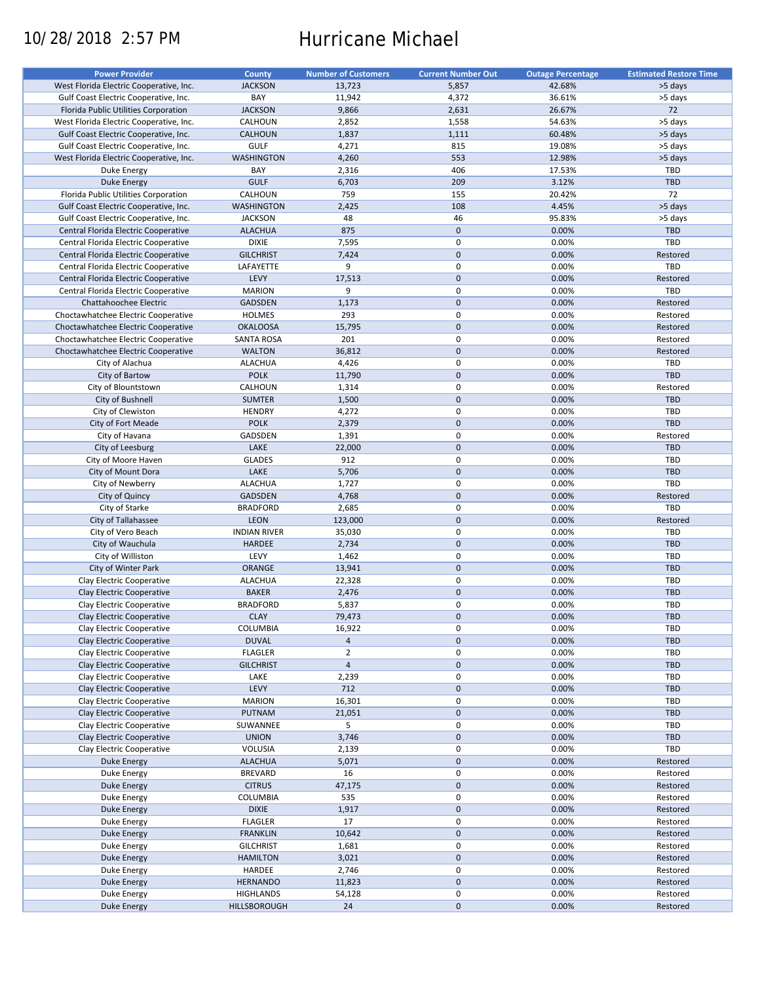# 10/28/2018 2:57 PM Hurricane Michael

| <b>Power Provider</b>                   | <b>County</b>       | <b>Number of Customers</b> | <b>Current Number Out</b> | <b>Outage Percentage</b> | <b>Estimated Restore Time</b> |
|-----------------------------------------|---------------------|----------------------------|---------------------------|--------------------------|-------------------------------|
| West Florida Electric Cooperative, Inc. | <b>JACKSON</b>      | 13,723                     | 5,857                     | 42.68%                   | >5 days                       |
| Gulf Coast Electric Cooperative, Inc.   | BAY                 | 11,942                     | 4,372                     | 36.61%                   | >5 days                       |
| Florida Public Utilities Corporation    | <b>JACKSON</b>      | 9,866                      | 2,631                     | 26.67%                   | 72                            |
|                                         |                     |                            |                           |                          |                               |
| West Florida Electric Cooperative, Inc. | CALHOUN             | 2,852                      | 1,558                     | 54.63%                   | >5 days                       |
| Gulf Coast Electric Cooperative, Inc.   | <b>CALHOUN</b>      | 1,837                      | 1,111                     | 60.48%                   | >5 days                       |
| Gulf Coast Electric Cooperative, Inc.   | <b>GULF</b>         | 4,271                      | 815                       | 19.08%                   | >5 days                       |
| West Florida Electric Cooperative, Inc. | <b>WASHINGTON</b>   | 4,260                      | 553                       | 12.98%                   | >5 days                       |
| Duke Energy                             | BAY                 | 2,316                      | 406                       | 17.53%                   | TBD                           |
| Duke Energy                             | <b>GULF</b>         | 6,703                      | 209                       | 3.12%                    | <b>TBD</b>                    |
| Florida Public Utilities Corporation    | CALHOUN             | 759                        | 155                       | 20.42%                   | 72                            |
| Gulf Coast Electric Cooperative, Inc.   | <b>WASHINGTON</b>   | 2,425                      | 108                       | 4.45%                    | >5 days                       |
| Gulf Coast Electric Cooperative, Inc.   | <b>JACKSON</b>      | 48                         | 46                        | 95.83%                   | >5 days                       |
|                                         |                     |                            |                           |                          |                               |
| Central Florida Electric Cooperative    | <b>ALACHUA</b>      | 875                        | $\mathbf 0$               | 0.00%                    | <b>TBD</b>                    |
| Central Florida Electric Cooperative    | <b>DIXIE</b>        | 7,595                      | $\pmb{0}$                 | 0.00%                    | TBD                           |
| Central Florida Electric Cooperative    | <b>GILCHRIST</b>    | 7,424                      | $\mathbf{0}$              | 0.00%                    | Restored                      |
| Central Florida Electric Cooperative    | LAFAYETTE           | 9                          | $\mathbf 0$               | 0.00%                    | TBD                           |
| Central Florida Electric Cooperative    | LEVY                | 17,513                     | $\mathbf{0}$              | 0.00%                    | Restored                      |
| Central Florida Electric Cooperative    | <b>MARION</b>       | 9                          | $\mathbf 0$               | 0.00%                    | TBD                           |
| Chattahoochee Electric                  | <b>GADSDEN</b>      | 1,173                      | $\mathbf 0$               | 0.00%                    | Restored                      |
| Choctawhatchee Electric Cooperative     | <b>HOLMES</b>       | 293                        | $\mathbf 0$               | 0.00%                    | Restored                      |
|                                         |                     |                            |                           |                          |                               |
| Choctawhatchee Electric Cooperative     | <b>OKALOOSA</b>     | 15,795                     | $\mathbf 0$               | 0.00%                    | Restored                      |
| Choctawhatchee Electric Cooperative     | <b>SANTA ROSA</b>   | 201                        | $\pmb{0}$                 | 0.00%                    | Restored                      |
| Choctawhatchee Electric Cooperative     | <b>WALTON</b>       | 36,812                     | $\mathbf 0$               | 0.00%                    | Restored                      |
| City of Alachua                         | <b>ALACHUA</b>      | 4,426                      | $\mathbf 0$               | 0.00%                    | <b>TBD</b>                    |
| City of Bartow                          | <b>POLK</b>         | 11,790                     | $\mathbf 0$               | 0.00%                    | TBD                           |
| City of Blountstown                     | CALHOUN             | 1,314                      | 0                         | 0.00%                    | Restored                      |
| City of Bushnell                        | <b>SUMTER</b>       | 1,500                      | $\mathbf 0$               | 0.00%                    | TBD                           |
| City of Clewiston                       | <b>HENDRY</b>       | 4,272                      | $\mathbf 0$               | 0.00%                    | <b>TBD</b>                    |
|                                         |                     |                            | $\mathbf 0$               |                          |                               |
| City of Fort Meade                      | <b>POLK</b>         | 2,379                      |                           | 0.00%                    | TBD                           |
| City of Havana                          | GADSDEN             | 1,391                      | $\pmb{0}$                 | 0.00%                    | Restored                      |
| City of Leesburg                        | LAKE                | 22,000                     | $\mathbf 0$               | 0.00%                    | <b>TBD</b>                    |
| City of Moore Haven                     | <b>GLADES</b>       | 912                        | $\mathbf 0$               | 0.00%                    | <b>TBD</b>                    |
| City of Mount Dora                      | LAKE                | 5,706                      | $\mathbf 0$               | 0.00%                    | TBD                           |
| City of Newberry                        | <b>ALACHUA</b>      | 1,727                      | $\pmb{0}$                 | 0.00%                    | TBD                           |
| City of Quincy                          | <b>GADSDEN</b>      | 4,768                      | $\mathbf 0$               | 0.00%                    | Restored                      |
| City of Starke                          | <b>BRADFORD</b>     | 2,685                      | 0                         | 0.00%                    | TBD                           |
| City of Tallahassee                     | LEON                | 123,000                    | $\mathbf 0$               | 0.00%                    | Restored                      |
| City of Vero Beach                      | <b>INDIAN RIVER</b> | 35,030                     | $\pmb{0}$                 | 0.00%                    | TBD                           |
|                                         |                     |                            |                           |                          |                               |
| City of Wauchula                        | <b>HARDEE</b>       | 2,734                      | $\mathbf 0$               | 0.00%                    | <b>TBD</b>                    |
| City of Williston                       | LEVY                | 1,462                      | 0                         | 0.00%                    | <b>TBD</b>                    |
| City of Winter Park                     | <b>ORANGE</b>       | 13,941                     | $\mathbf 0$               | 0.00%                    | <b>TBD</b>                    |
| Clay Electric Cooperative               | <b>ALACHUA</b>      | 22,328                     | $\pmb{0}$                 | 0.00%                    | <b>TBD</b>                    |
| Clay Electric Cooperative               | <b>BAKER</b>        | 2,476                      | $\mathbf 0$               | 0.00%                    | TBD                           |
| Clay Electric Cooperative               | <b>BRADFORD</b>     | 5,837                      | $\pmb{0}$                 | 0.00%                    | <b>TBD</b>                    |
| Clay Electric Cooperative               | <b>CLAY</b>         | 79,473                     | $\mathbf{0}$              | 0.00%                    | <b>TBD</b>                    |
| Clay Electric Cooperative               | COLUMBIA            | 16,922                     | 0                         | 0.00%                    | <b>TBD</b>                    |
|                                         |                     |                            |                           |                          |                               |
| Clay Electric Cooperative               | <b>DUVAL</b>        | $\overline{a}$             | $\pmb{0}$                 | 0.00%                    | TBD                           |
| Clay Electric Cooperative               | <b>FLAGLER</b>      | $\overline{2}$             | 0                         | 0.00%                    | <b>TBD</b>                    |
| Clay Electric Cooperative               | <b>GILCHRIST</b>    | $\overline{4}$             | $\mathbf 0$               | 0.00%                    | <b>TBD</b>                    |
| Clay Electric Cooperative               | LAKE                | 2,239                      | $\boldsymbol{0}$          | 0.00%                    | TBD                           |
| Clay Electric Cooperative               | LEVY                | 712                        | $\pmb{0}$                 | 0.00%                    | <b>TBD</b>                    |
| Clay Electric Cooperative               | <b>MARION</b>       | 16,301                     | $\pmb{0}$                 | 0.00%                    | TBD                           |
| Clay Electric Cooperative               | PUTNAM              | 21,051                     | $\pmb{0}$                 | 0.00%                    | <b>TBD</b>                    |
| Clay Electric Cooperative               | SUWANNEE            | 5                          | $\boldsymbol{0}$          | 0.00%                    | TBD                           |
| Clay Electric Cooperative               | <b>UNION</b>        |                            |                           |                          | TBD                           |
|                                         |                     | 3,746                      | $\pmb{0}$                 | 0.00%                    |                               |
| Clay Electric Cooperative               | VOLUSIA             | 2,139                      | $\pmb{0}$                 | 0.00%                    | TBD                           |
| <b>Duke Energy</b>                      | <b>ALACHUA</b>      | 5,071                      | $\pmb{0}$                 | 0.00%                    | Restored                      |
| Duke Energy                             | <b>BREVARD</b>      | 16                         | $\pmb{0}$                 | 0.00%                    | Restored                      |
| <b>Duke Energy</b>                      | <b>CITRUS</b>       | 47,175                     | $\pmb{0}$                 | 0.00%                    | Restored                      |
| Duke Energy                             | COLUMBIA            | 535                        | 0                         | 0.00%                    | Restored                      |
| Duke Energy                             | <b>DIXIE</b>        | 1,917                      | $\pmb{0}$                 | 0.00%                    | Restored                      |
| Duke Energy                             | <b>FLAGLER</b>      | 17                         | $\pmb{0}$                 | 0.00%                    | Restored                      |
|                                         |                     |                            |                           |                          |                               |
| Duke Energy                             | <b>FRANKLIN</b>     | 10,642                     | $\pmb{0}$                 | 0.00%                    | Restored                      |
| Duke Energy                             | <b>GILCHRIST</b>    | 1,681                      | 0                         | 0.00%                    | Restored                      |
| Duke Energy                             | <b>HAMILTON</b>     | 3,021                      | $\pmb{0}$                 | 0.00%                    | Restored                      |
| Duke Energy                             | HARDEE              | 2,746                      | 0                         | 0.00%                    | Restored                      |
| Duke Energy                             | <b>HERNANDO</b>     | 11,823                     | $\pmb{0}$                 | 0.00%                    | Restored                      |
| Duke Energy                             | <b>HIGHLANDS</b>    | 54,128                     | 0                         | 0.00%                    | Restored                      |
| Duke Energy                             | HILLSBOROUGH        | 24                         | $\pmb{0}$                 | 0.00%                    | Restored                      |
|                                         |                     |                            |                           |                          |                               |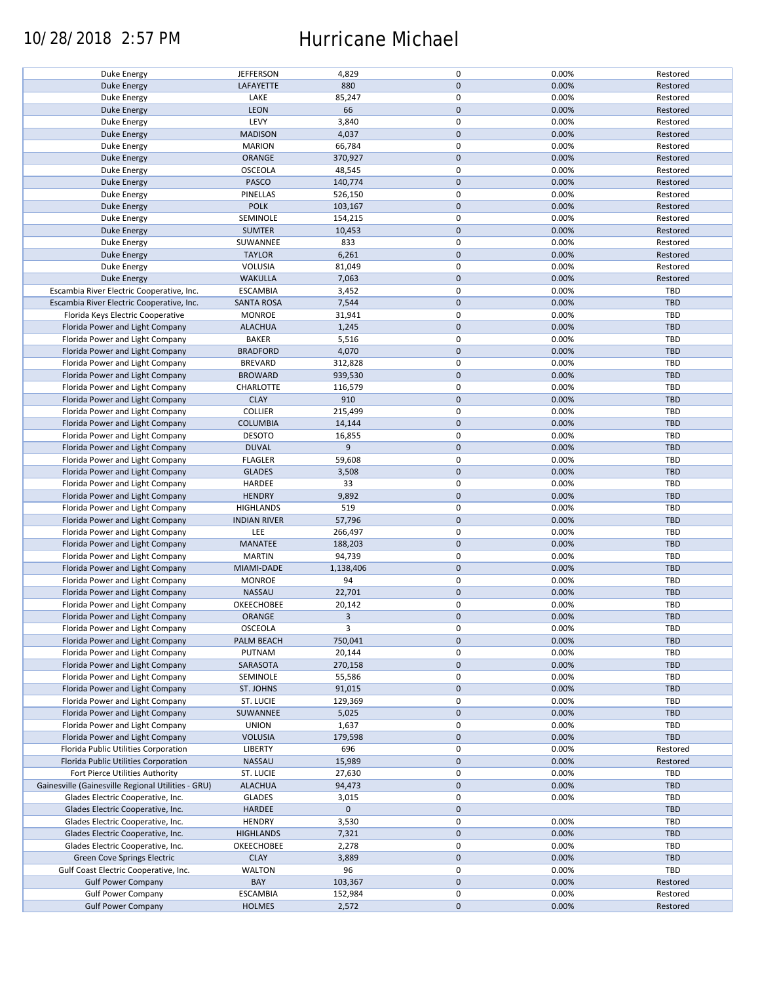### 10/28/2018 2:57 PM Hurricane Michael

|                                                    | <b>JEFFERSON</b>    | 4,829       | $\mathsf 0$      | 0.00% | Restored   |
|----------------------------------------------------|---------------------|-------------|------------------|-------|------------|
| Duke Energy                                        |                     |             |                  |       |            |
| <b>Duke Energy</b>                                 | LAFAYETTE           | 880         | $\mathbf{0}$     | 0.00% | Restored   |
| Duke Energy                                        | LAKE                | 85,247      | $\mathsf 0$      | 0.00% | Restored   |
| <b>Duke Energy</b>                                 | <b>LEON</b>         | 66          | $\mathbf 0$      | 0.00% | Restored   |
| Duke Energy                                        | LEVY                | 3,840       | $\mathsf 0$      | 0.00% | Restored   |
|                                                    |                     |             |                  |       |            |
| <b>Duke Energy</b>                                 | <b>MADISON</b>      | 4,037       | $\mathbf 0$      | 0.00% | Restored   |
| Duke Energy                                        | <b>MARION</b>       | 66,784      | $\mathsf 0$      | 0.00% | Restored   |
| <b>Duke Energy</b>                                 | ORANGE              | 370,927     | $\mathbf 0$      | 0.00% | Restored   |
| Duke Energy                                        | OSCEOLA             | 48,545      | $\mathsf 0$      | 0.00% | Restored   |
| <b>Duke Energy</b>                                 | <b>PASCO</b>        | 140,774     | $\mathbf 0$      | 0.00% | Restored   |
|                                                    |                     |             |                  |       |            |
| Duke Energy                                        | PINELLAS            | 526,150     | $\mathsf 0$      | 0.00% | Restored   |
| <b>Duke Energy</b>                                 | <b>POLK</b>         | 103,167     | $\mathbf 0$      | 0.00% | Restored   |
| Duke Energy                                        | SEMINOLE            | 154,215     | $\mathsf 0$      | 0.00% | Restored   |
| <b>Duke Energy</b>                                 | <b>SUMTER</b>       | 10,453      | $\mathbf 0$      | 0.00% | Restored   |
| Duke Energy                                        | SUWANNEE            | 833         | $\mathsf 0$      | 0.00% | Restored   |
|                                                    | <b>TAYLOR</b>       | 6,261       | $\mathbf 0$      | 0.00% | Restored   |
| <b>Duke Energy</b>                                 |                     |             |                  |       |            |
| Duke Energy                                        | VOLUSIA             | 81,049      | $\mathsf 0$      | 0.00% | Restored   |
| <b>Duke Energy</b>                                 | <b>WAKULLA</b>      | 7,063       | $\mathbf 0$      | 0.00% | Restored   |
| Escambia River Electric Cooperative, Inc.          | <b>ESCAMBIA</b>     | 3,452       | $\mathsf 0$      | 0.00% | TBD        |
| Escambia River Electric Cooperative, Inc.          | <b>SANTA ROSA</b>   | 7,544       | $\mathbf 0$      | 0.00% | <b>TBD</b> |
| Florida Keys Electric Cooperative                  | <b>MONROE</b>       | 31,941      | $\mathsf 0$      | 0.00% | <b>TBD</b> |
|                                                    |                     |             |                  |       |            |
| Florida Power and Light Company                    | <b>ALACHUA</b>      | 1,245       | $\pmb{0}$        | 0.00% | TBD        |
| Florida Power and Light Company                    | <b>BAKER</b>        | 5,516       | $\mathsf 0$      | 0.00% | TBD        |
| Florida Power and Light Company                    | <b>BRADFORD</b>     | 4,070       | $\mathbf 0$      | 0.00% | TBD        |
| Florida Power and Light Company                    | <b>BREVARD</b>      | 312,828     | $\mathsf 0$      | 0.00% | TBD        |
| Florida Power and Light Company                    | <b>BROWARD</b>      | 939,530     | $\mathbf 0$      | 0.00% | <b>TBD</b> |
|                                                    |                     |             |                  |       |            |
| Florida Power and Light Company                    | CHARLOTTE           | 116,579     | 0                | 0.00% | <b>TBD</b> |
| Florida Power and Light Company                    | <b>CLAY</b>         | 910         | $\mathbf 0$      | 0.00% | <b>TBD</b> |
| Florida Power and Light Company                    | <b>COLLIER</b>      | 215,499     | $\mathsf 0$      | 0.00% | TBD        |
| Florida Power and Light Company                    | <b>COLUMBIA</b>     | 14,144      | $\mathbf 0$      | 0.00% | TBD        |
| Florida Power and Light Company                    | <b>DESOTO</b>       | 16,855      | $\mathsf 0$      | 0.00% | TBD        |
| Florida Power and Light Company                    | <b>DUVAL</b>        | 9           | $\mathbf 0$      | 0.00% | <b>TBD</b> |
|                                                    |                     |             |                  |       |            |
| Florida Power and Light Company                    | <b>FLAGLER</b>      | 59,608      | $\pmb{0}$        | 0.00% | TBD        |
| Florida Power and Light Company                    | <b>GLADES</b>       | 3,508       | $\mathbf 0$      | 0.00% | <b>TBD</b> |
| Florida Power and Light Company                    | HARDEE              | 33          | $\mathsf 0$      | 0.00% | TBD        |
| Florida Power and Light Company                    | <b>HENDRY</b>       | 9,892       | $\mathbf 0$      | 0.00% | <b>TBD</b> |
| Florida Power and Light Company                    | <b>HIGHLANDS</b>    | 519         | 0                | 0.00% | <b>TBD</b> |
|                                                    |                     |             |                  |       |            |
| Florida Power and Light Company                    | <b>INDIAN RIVER</b> | 57,796      | $\mathbf 0$      | 0.00% | TBD        |
| Florida Power and Light Company                    | LEE                 | 266,497     | $\mathsf 0$      | 0.00% | TBD        |
| Florida Power and Light Company                    | MANATEE             | 188,203     | $\mathbf 0$      | 0.00% | TBD        |
| Florida Power and Light Company                    | <b>MARTIN</b>       | 94,739      | $\mathsf 0$      | 0.00% | TBD        |
| Florida Power and Light Company                    | MIAMI-DADE          | 1,138,406   | $\mathbf 0$      | 0.00% | TBD        |
|                                                    |                     | 94          | 0                |       | <b>TBD</b> |
| Florida Power and Light Company                    | <b>MONROE</b>       |             |                  | 0.00% |            |
| Florida Power and Light Company                    | NASSAU              | 22,701      | $\mathbf 0$      | 0.00% | <b>TBD</b> |
| Florida Power and Light Company                    | OKEECHOBEE          | 20,142      | $\mathsf 0$      | 0.00% | <b>TBD</b> |
| Florida Power and Light Company                    | <b>ORANGE</b>       | 3           | $\mathbf{0}$     | 0.00% | TBD        |
| Florida Power and Light Company                    | OSCEOLA             | 3           | 0                | 0.00% | TBD        |
| Florida Power and Light Company                    |                     |             | $\mathbf 0$      |       |            |
|                                                    | PALM BEACH          | 750,041     |                  | 0.00% | TBD        |
| Florida Power and Light Company                    | PUTNAM              | 20,144      | 0                | 0.00% | TBD        |
| Florida Power and Light Company                    | SARASOTA            | 270,158     | $\mathbf 0$      | 0.00% | TBD        |
| Florida Power and Light Company                    | SEMINOLE            | 55,586      | 0                | 0.00% | <b>TBD</b> |
| Florida Power and Light Company                    | ST. JOHNS           | 91,015      | $\pmb{0}$        | 0.00% | <b>TBD</b> |
| Florida Power and Light Company                    | ST. LUCIE           | 129,369     | 0                | 0.00% | TBD        |
|                                                    |                     |             |                  |       |            |
| Florida Power and Light Company                    | SUWANNEE            | 5,025       | $\mathbf 0$      | 0.00% | <b>TBD</b> |
| Florida Power and Light Company                    | <b>UNION</b>        | 1,637       | $\mathsf 0$      | 0.00% | TBD        |
| Florida Power and Light Company                    | <b>VOLUSIA</b>      | 179,598     | $\boldsymbol{0}$ | 0.00% | TBD        |
| Florida Public Utilities Corporation               | LIBERTY             | 696         | $\mathsf 0$      | 0.00% | Restored   |
| Florida Public Utilities Corporation               | NASSAU              | 15,989      | $\pmb{0}$        | 0.00% | Restored   |
| Fort Pierce Utilities Authority                    | ST. LUCIE           | 27,630      | 0                | 0.00% | TBD        |
|                                                    |                     |             |                  |       |            |
| Gainesville (Gainesville Regional Utilities - GRU) | <b>ALACHUA</b>      | 94,473      | $\mathbf 0$      | 0.00% | <b>TBD</b> |
| Glades Electric Cooperative, Inc.                  | <b>GLADES</b>       | 3,015       | 0                | 0.00% | TBD        |
| Glades Electric Cooperative, Inc.                  | HARDEE              | $\mathbf 0$ | $\mathbf 0$      |       | <b>TBD</b> |
| Glades Electric Cooperative, Inc.                  | <b>HENDRY</b>       | 3,530       | $\pmb{0}$        | 0.00% | <b>TBD</b> |
| Glades Electric Cooperative, Inc.                  | <b>HIGHLANDS</b>    | 7,321       | $\boldsymbol{0}$ | 0.00% | TBD        |
|                                                    |                     |             | $\mathsf 0$      |       |            |
| Glades Electric Cooperative, Inc.                  | OKEECHOBEE          | 2,278       |                  | 0.00% | TBD        |
| Green Cove Springs Electric                        | <b>CLAY</b>         | 3,889       | $\mathbf 0$      | 0.00% | TBD        |
| Gulf Coast Electric Cooperative, Inc.              | <b>WALTON</b>       | 96          | $\mathsf 0$      | 0.00% | TBD        |
| <b>Gulf Power Company</b>                          | BAY                 | 103,367     | $\pmb{0}$        | 0.00% | Restored   |
| <b>Gulf Power Company</b>                          | <b>ESCAMBIA</b>     | 152,984     | 0                | 0.00% | Restored   |
| <b>Gulf Power Company</b>                          | <b>HOLMES</b>       | 2,572       | $\mathbf 0$      | 0.00% | Restored   |
|                                                    |                     |             |                  |       |            |